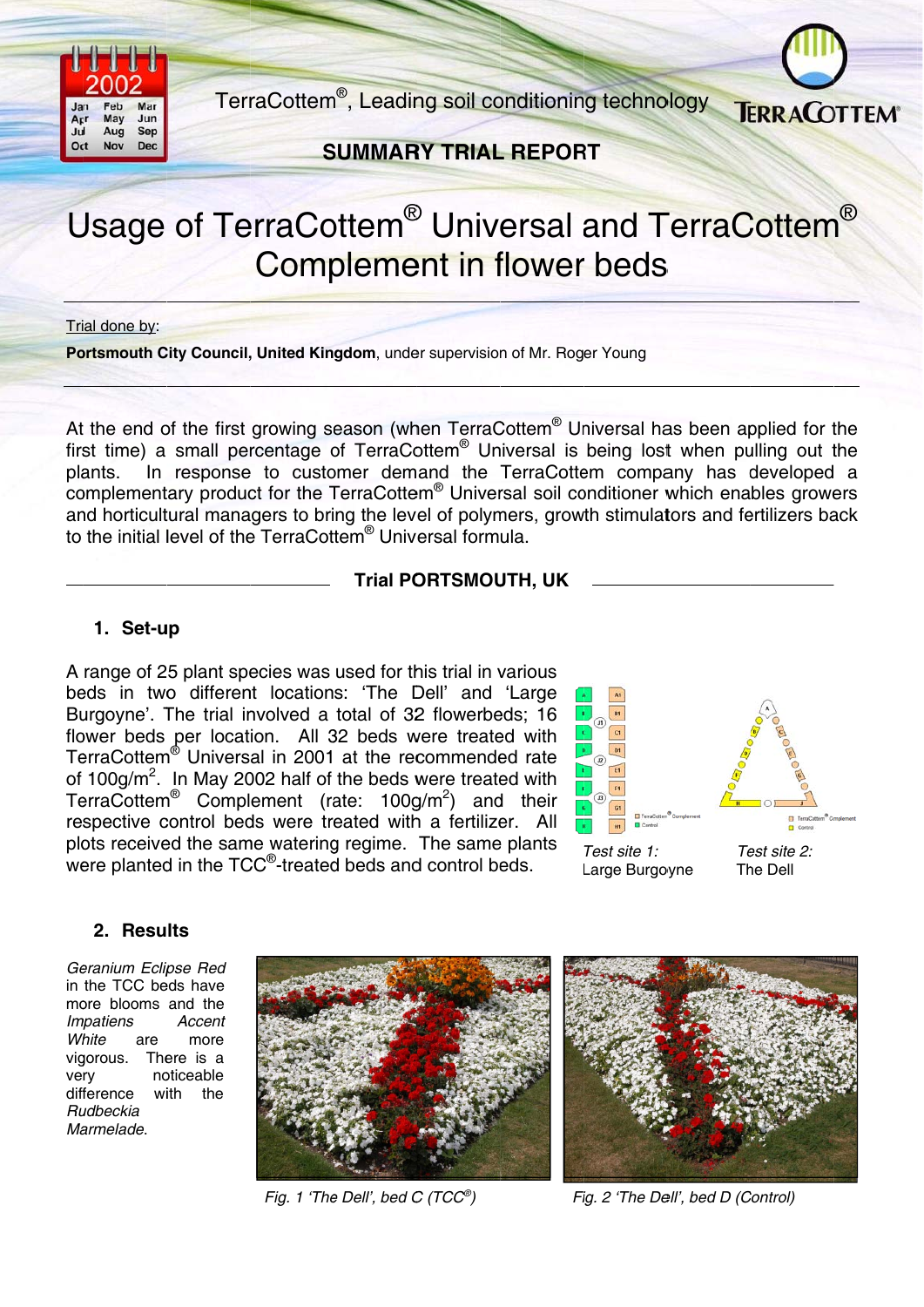

TerraCottem<sup>®</sup>, Leading soil conditioning technology



**SUMMARY TRIAL REPORT** 

# Usage of TerraCottem<sup>®</sup> Universal and TerraCottem<sup>®</sup> **Complement in flower beds**

Trial done by:

Portsmouth City Council, United Kingdom, under supervision of Mr. Roger Young

At the end of the first growing season (when TerraCottem<sup>®</sup> Universal has been applied for the first time) a small percentage of TerraCottem<sup>®</sup> Universal is being lost when pulling out the In response to customer demand the TerraCottem company has developed a plants. complementary product for the TerraCottem® Universal soil conditioner which enables growers and horticultural managers to bring the level of polymers, growth stimulators and fertilizers back to the initial level of the TerraCottem<sup>®</sup> Universal formula.

### **Trial PORTSMOUTH, UK**

## 1. Set-up

A range of 25 plant species was used for this trial in various beds in two different locations: 'The Dell' and 'Large Burgoyne'. The trial involved a total of 32 flowerbeds; 16 flower beds per location. All 32 beds were treated with TerraCottem<sup>®</sup> Universal in 2001 at the recommended rate of  $100q/m^2$ . In May 2002 half of the beds were treated with TerraCottem<sup>®</sup> Complement (rate: 100g/m<sup>2</sup>) and their respective control beds were treated with a fertilizer. All plots received the same watering regime. The same plants were planted in the TCC<sup>®</sup>-treated beds and control beds.



# 2. Results

Geranium Eclipse Red in the TCC beds have more blooms and the Impatiens Accent White are more vigorous. There is a very noticeable difference with the Rudbeckia Marmelade.



Fig. 1 'The Dell', bed C (TCC®)



Fig. 2 'The Dell', bed D (Control)